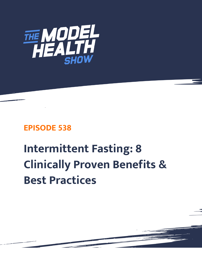

## **EPISODE 538**

# **Intermittent Fasting: 8 Clinically Proven Benefits & Best Practices**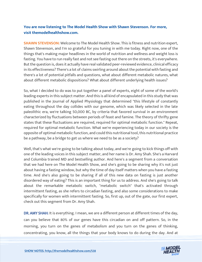### **You are now listening to The Model Health Show with Shawn Stevenson. For more, visit themodelhealthshow.com.**

**SHAWN STEVENSON:** Welcome to The Model Health Show. This is fitness and nutrition expert, Shawn Stevenson, and I'm so grateful for you tuning in with me today. Right now, one of the things that's making major headlines in the world of nutrition and wellness and weight loss is fasting. You have to run really fast and not see fasting out there on the streets, it's everywhere. But the question is, does it actually have real validated peer-reviewed evidence, clinical efficacy in its effectiveness? There's a lot of claims swirling around about the potential with fasting and there's a lot of potential pitfalls and questions, what about different metabolic natures, what about different metabolic dispositions? What about different underlying health issues?

So, what I decided to do was to put together a panel of experts, eight of some of the world's leading experts in this subject matter. And this is all kind of encapsulated in this study that was published in the Journal of Applied Physiology that determined "this lifestyle of constantly eating throughout the day collides with our genome, which was likely selected in the late paleolithic era, we're talking 50,000 BC, by criteria that favored survival in an environment characterized by fluctuations between periods of feast and famine. The theory of thrifty gene states that these fluctuations are required, required for optimal metabolic function." Repeat, required for optimal metabolic function. What we're experiencing today in our society is the opposite of optimal metabolic function, and could this nutritional tool, this nutritional practice be a pathway, be a bridge to get us where we need to be as a society?

Well, that's what we're going to be talking about today, and we're going to kick things off with one of the leading voices in this subject matter, and her name is Dr. Amy Shah. She's a Harvard and Columbia trained MD and bestselling author. And here's a segment from a conversation that we had here on The Model Health Show, and she's going to be sharing why it's not just about having a fasting window, but why the time of day itself matters when you have a fasting time. And she's also going to be sharing if all of this new data on fasting is just another disordered way of eating? This is an important thing for us to address. And she's going to talk about the remarkable metabolic switch, "metabolic switch" that's activated through intermittent fasting, as she refers to circadian fasting, and also some considerations to make specifically for women with intermittent fasting. So, first up, out of the gate, our first expert, check out this segment from Dr. Amy Shah.

DR. AMY SHAH: It is everything. I mean, we are a different person at different times of the day, can you believe that 80% of our genes have this circadian on and off pattern. So, in the morning, you turn on the genes of metabolism and you turn on the genes of thinking, [concentrating, you know, all the things that your body knows to do during the day. And at](https://themodelhealthshow.com/intermittent-fasting-benefits/)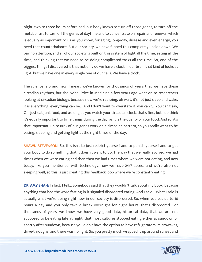night, two to three hours before bed, our body knows to turn off those genes, to turn off the metabolism, to turn off the genes of daytime and to concentrate on repair and renewal, which is equally as important to us as you know, for aging, longevity, disease and even energy, you need that counterbalance. But our society, we have flipped this completely upside down. We pay no attention, and all of our society is built on this system of light all the time, eating all the time, and thinking that we need to be doing complicated tasks all the time. So, one of the biggest things I discovered is that not only do we have a clock in our brain that kind of looks at light, but we have one in every single one of our cells. We have a clock.

The science is brand new, I mean, we've known for thousands of years that we have these circadian rhythms, but the Nobel Prize in Medicine a few years ago went on to researchers looking at circadian biology, because now we're realizing, oh wait, it's not just sleep and wake, it is everything, everything can be... And I don't want to overstate it, you can't... You can't say, Oh, just eat junk food, and as long as you watch your circadian clock, that's fine, but I do think it's equally important to time things during the day, as it is the quality of your food. And so, it's that important, up to 80% of our genes work on a circadian pattern, so you really want to be eating, sleeping and getting light at the right times of the day.

SHAWN STEVENSON: So, this isn't to just restrict yourself and to punish yourself and to get your body to do something that it doesn't want to do. The way that we really evolved, we had times when we were eating and then then we had times where we were not eating, and now today, like you mentioned, with technology, now we have 24/7 access and we're also not sleeping well, so this is just creating this feedback loop where we're constantly eating.

DR. AMY SHAH: In fact, I tell... Somebody said that they wouldn't talk about my book, because anything that had the word fasting in it signaled disordered eating. And I said... What I said is actually what we're doing right now in our society is disordered. So, when you eat up to 16 hours a day and you only take a break overnight for eight hours, that's disordered. For thousands of years, we know, we have very good data, historical data, that we are not supposed to be eating late at night, that most cultures stopped eating either at sundown or shortly after sundown, because you didn't have the option to have refrigerators, microwaves, drive-throughs, and there was no light. So, you pretty much wrapped it up around sunset and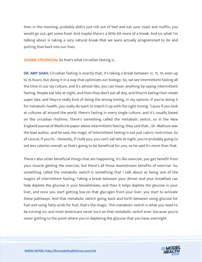then in the morning, probably didn't just roll out of bed and eat your toast and muffin, you would go out, get some food. And maybe there's a little bit more of a break. And so, what I'm talking about is taking a very natural break that we were actually programmed to do and putting that back into our lives.

SHAWN STEVENSON: So that's what circadian fasting is.

DR. AMY SHAH: Circadian fasting is exactly that, it's taking a break between 12, 13, 14, even up to 16 hours, but doing it in a way that optimizes our biology. So, we see intermittent fasting all the time in our lay culture, and it's almost like, you can mean anything by saying intermittent fasting. People eat late at night, and then they don't eat all day, and they're eating their meals super late, and they're really kind of doing the wrong timing, in my opinion. If you're doing it for metabolic health, you really do want to match it up with the right timing. 'Cause if you look at cultures all around the world, there's fasting in every single culture, and it's usually based on the circadian rhythms. There's something called the metabolic switch, so in the New England Journal of Medicine paper about intermittent fasting, they said that... Dr. Mattson was the lead author, and he said, the magic of intermittent fasting is not just caloric restriction. So of course, if you're... Honestly, if I told you, you can't eat late at night, you're probably going to eat less calories overall, so that's going to be beneficial for you, so he said it's more than that.

There's also other beneficial things that are happening, it's like exercise, you get benefit from your muscle getting the exercise, but there's all these downstream benefits of exercise. So, something called the metabolic switch is something that I talk about as being one of the magics of intermittent fasting. Taking a break between your dinner and your breakfast can help deplete the glucose in your bloodstream, and then it helps deplete the glucose in your liver, and once you start getting low on that glycogen from your liver, you start to activate these pathways. And that metabolic switch going back and forth between using glucose for fuel and using fatty acids for fuel, that's the magic. This metabolic switch is what you need to be turning on, and most Americans never turn on that metabolic switch ever, because you're never getting to the point where you're depleting the glucose that you have overnight.

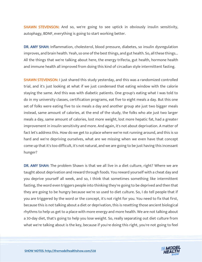SHAWN STEVENSON: And so, we're going to see uptick in obviously insulin sensitivity, autophagy, BDNF, everything is going to start working better.

DR. AMY SHAH: Inflammation, cholesterol, blood pressure, diabetes, so insulin dysregulation improves, and brain health. Yeah, so one of the best things, and gut health. So, all these things... All the things that we're talking about here, the energy trifecta, gut health, hormone health and immune health all improved from doing this kind of circadian style intermittent fasting.

SHAWN STEVENSON: I just shared this study yesterday, and this was a randomized controlled trial, and it's just looking at what if we just condensed that eating window with the calorie staying the same. And this was with diabetic patients. One group's eating what I was told to do in my university classes, certification programs, eat five to eight meals a day. But this one set of folks were eating five to six meals a day and another group ate just two bigger meals instead, same amount of calories, at the end of the study, the folks who ate just two larger meals a day, same amount of calories, lost more weight, lost more hepatic fat, had a greater improvement in insulin sensitivity and more. And again, it's not about deprivation. A matter of fact let's address this. How do we get to a place where we're not running around, and this is so hard and we're depriving ourselves, what are we missing when we even have that concept come up that it's too difficult, it's not natural, and we are going to be just having this incessant hunger?

DR. AMY SHAH: The problem Shawn is that we all live in a diet culture, right? Where we are taught about deprivation and reward through foods. You reward yourself with a cheat day and you deprive yourself all week, and so, I think that sometimes something like intermittent fasting, the word even triggers people into thinking they're going to be deprived and then that they are going to be hungry because we're so used to diet culture. So, I do tell people that if you are triggered by the word or the concept, it's not right for you. You need to fix that first, because this is not talking about a diet or deprivation, this is resetting those ancient biological rhythms to help us get to a place with more energy and more health. We are not talking about a 30-day diet, that's going to help you lose weight. So, really separating out diet culture from what we're talking about is the key, because if you're doing this right, you're not going to feel

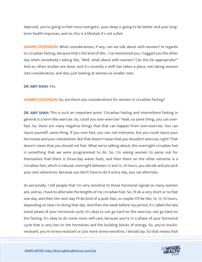deprived, you're going to feel more energetic, your sleep is going to be better and your longterm health improves, and so, this is a lifestyle it's not a diet.

**SHAWN STEVENSON:** What considerations, if any, can we talk about with women? In regards to circadian fasting, because that's the kind of like... I've mentioned you, I tagged you the other day when somebody's asking like, "Well, what about with women? Can this be appropriate?" And so, often studies are done, and it's recently a shift has taken a place, not taking women into consideration, and also, just looking at women as smaller men.

#### DR. AMY SHAH: Yes.

SHAWN STEVENSON: So, are there any considerations for women in circadian fasting?

DR. AMY SHAH: This is such an important point. Circadian fasting and intermittent fasting in general is a term like exercise. So, could you over-exercise? Yeah, so same thing, you can overfast. So, there are many negative things that that can happen from over-exercise. You can injure yourself, same thing. If you over-fast, you can, not everyone, but you could injure your hormones and your metabolism. But that doesn't mean that you shouldn't exercise, right? That doesn't mean that you should not fast. What we're talking about, this overnight circadian fast is something that we were programmed to do. So, I'm asking women to parse out for themselves that there is three-day water fasts, and then there on the other extreme is a circadian fast, which is natural, overnight between 12 and 15, 16 hours, you decide and you pick your own adventure, because you don't have to do it every day, you can alternate.

So personally, I tell people that I'm very sensitive to those hormonal signals as many women are, and so, I have to alternate the lengths of my circadian fast. So, I'll do a very short or no fast one day, and then the next day I'll do kind of a push fast, so maybe it'll be like, 14, 15, 16 hours, depending on how I'm doing that day. And then the week before my period, it's called the late luteal phase of your hormonal cycle, it's okay to not go hard on the exercise, not go hard on the fasting. It's okay to do some more self-care, because you're in a phase of your hormonal cycle that is very low on the hormones and the building blocks of energy. So, you're insulinresistant, you're stress-resistant or just more stress-sensitive, I should say. So that means that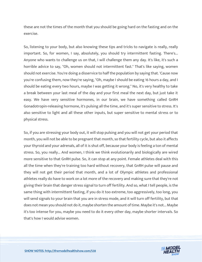these are not the times of the month that you should be going hard on the fasting and on the exercise.

So, listening to your body, but also knowing these tips and tricks to navigate is really, really important. So, for women, I say, absolutely, you should try intermittent fasting. There's... Anyone who wants to challenge us on that, I will challenge them any day. It's like, it's such a horrible advice to say, "Oh, women should not intermittent fast." That's like saying, women should not exercise. You're doing a disservice to half the population by saying that. 'Cause now you're confusing them, now they're saying, "Oh, maybe I should be eating 16 hours a day, and I should be eating every two hours, maybe I was getting it wrong." No, it's very healthy to take a break between your last meal of the day and your first meal the next day, but just take it easy. We have very sensitive hormones, in our brain, we have something called GnRH Gonadotropin-releasing hormone, it's pulsing all the time, and it's super sensitive to stress. It's also sensitive to light and all these other inputs, but super sensitive to mental stress or to physical stress.

So, if you are stressing your body out, it will stop pulsing and you will not get your period that month, you will not be able to be pregnant that month, so that fertility cycle, but also it affects your thyroid and your adrenals, all of it is shut off, because your body is feeling a ton of mental stress. So, you really... And women, I think we think evolutionarily and biologically are wired more sensitive to that GnRH pulse. So, it can stop at any point. Female athletes deal with this all the time when they're training too hard without recovery, that GnRH pulse will pause and they will not get their period that month, and a lot of Olympic athletes and professional athletes really do have to work on a lot more of the recovery and making sure that they're not giving their brain that danger stress signal to turn off fertility. And so, what I tell people, is the same thing with intermittent fasting, if you do it too extreme, too aggressively, too long, you will send signals to your brain that you are in stress mode, and it will turn off fertility, but that does not mean you should not do it, maybe shorten the amount of time. Maybe it's not... Maybe it's too intense for you, maybe you need to do it every other day, maybe shorter intervals. So that's how I would advise women.

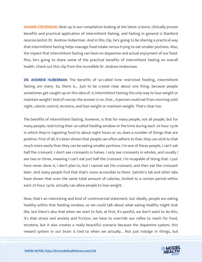**SHAWN STEVENSON:** Next up in our compilation looking at the latest science, clinically proven benefits and practical application of intermittent fasting, and fasting in general is Stanford neuroscientist Dr. Andrew Huberman. And in this clip, he's going to be sharing a practical way that intermittent fasting helps manage food intake versus trying to eat smaller portions. Also, the impact that intermittent fasting can have on dopamine and actual enjoyment of our food. Plus, he's going to share some of the practical benefits of intermittent fasting on overall health. Check out this clip from the incredible Dr. Andrew Huberman.

DR. ANDREW HUBERMAN: The benefits of so-called time restricted feeding, intermittent fasting are many. So, there is... Just to be crystal clear about one thing, because people sometimes get caught up on this idea of, is intermittent fasting the only way to lose weight or maintain weight? And of course, the answer is no. One... A person could eat from morning until night, calorie control, etcetera, and lose weight or maintain weight. That's clear too.

The benefits of intermittent fasting, however, is that for many people, not all people, but for many people, restricting their so-called feeding window or the time during each 24-hour cycle in which they're ingesting food to about eight hours or so, does a number of things that are positive. First of all, it's been shown that people can often adhere to that, they can stick to that much more easily than they can be eating smaller portions. I'm one of these people, I can't eat half the croissant. I don't see croissants in halves. I only see croissants in wholes, and usually I see two or three, meaning I can't eat just half the croissant. I'm incapable of doing that. I just have never done it, I don't plan to, but I cannot eat the croissant, and then eat the croissant later. And many people find that that's more accessible to them. Satchin's lab and other labs have shown that even the same total amount of calories, limited to a certain period within each 24-hour cycle, actually can allow people to lose weight.

Now, that's an interesting and kind of controversial statement, but ideally, people are eating healthy within that feeding window, so we could talk about what eating healthy might look like, but there's also that when we start to fast, at first, it's painful, we don't want to do this, it's that stress and anxiety and friction, we have to override our reflex to reach for food, etcetera, but it also creates a really beautiful scenario because the dopamine system, this reward system in our brain is tied to when we actually... Not just indulge in things, but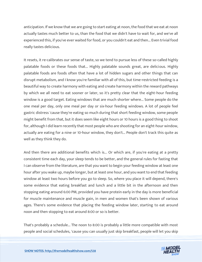anticipation. If we know that we are going to start eating at noon, the food that we eat at noon actually tastes much better to us, than the food that we didn't have to wait for, and we've all experienced this, if you've ever waited for food, or you couldn't eat and then... Even trivial food really tastes delicious.

It resets, it re-calibrates our sense of taste, so we tend to pursue less of these so-called highly palatable foods or these foods that... Highly palatable sounds great, are delicious. Highly palatable foods are foods often that have a lot of hidden sugars and other things that can disrupt metabolism, and I know you're familiar with all of this, but time-restricted feeding is a beautiful way to create harmony with eating and create harmony within the reward pathways by which we all need to eat sooner or later, so it's pretty clear that the eight-hour feeding window is a good target. Eating windows that are much shorter where... Some people do the one meal per day, only one meal per day or six-hour feeding windows. A lot of people feel gastric distress 'cause they're eating so much during that short feeding window, some people might benefit from that, but it does seem like eight hours or 10 hours is a good thing to shoot for, although I did learn recently that most people who are shooting for an eight-hour window, actually are eating for a nine or 10-hour window, they don't... People don't track this quite as well as they think they do.

And then there are additional benefits which is... Or which are, if you're eating at a pretty consistent time each day, your sleep tends to be better, and the general rules for fasting that I can observe from the literature, are that you want to begin your feeding window at least one hour after you wake up, maybe longer, but at least one hour, and you want to end that feeding window at least two hours before you go to sleep. So, where you place it will depend, there's some evidence that eating breakfast and lunch and a little bit in the afternoon and then stopping eating around 6:00 PM, provided you have protein early in the day is more beneficial for muscle maintenance and muscle gain, in men and women that's been shown of various ages. There's some evidence that placing the feeding window later, starting to eat around noon and then stopping to eat around 8:00 or so is better.

That's probably a schedule... The noon to 8:00 is probably a little more compatible with most people and social schedules, 'cause you can usually just skip breakfast, people will let you skip

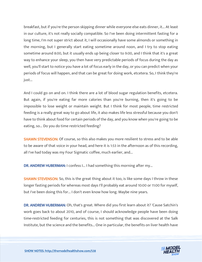breakfast, but if you're the person skipping dinner while everyone else eats dinner, it... At least in our culture, it's not really socially compatible. So I've been doing intermittent fasting for a long time, I'm not super strict about it, I will occasionally have some almonds or something in the morning, but I generally start eating sometime around noon, and I try to stop eating sometime around 8:00, but it usually ends up being closer to 9:00, and I think that it's a great way to enhance your sleep, you then have very predictable periods of focus during the day as well, you'll start to notice you have a lot of focus early in the day, or you can predict when your periods of focus will happen, and that can be great for doing work, etcetera. So, I think they're just...

And I could go on and on. I think there are a lot of blood sugar regulation benefits, etcetera. But again, if you're eating far more calories than you're burning, then it's going to be impossible to lose weight or maintain weight. But I think for most people, time restricted feeding is a really great way to go about life, it also makes life less stressful because you don't have to think about food for certain periods of the day, and you know when you're going to be eating, so... Do you do time restricted feeding?

**SHAWN STEVENSON:** Of course, so this also makes you more resilient to stress and to be able to be aware of that voice in your head, and here it is 1:53 in the afternoon as of this recording, all I've had today was my Four Sigmatic coffee, much earlier, and...

DR. ANDREW HUBERMAN: I confess I... I had something this morning after my...

**SHAWN STEVENSON:** So, this is the great thing about it too, is like some days I throw in these longer fasting periods for whereas most days I'll probably eat around 10:00 or 11:00 for myself, but I've been doing this for... I don't even know how long. Maybe nine years.

DR. ANDREW HUBERMAN: Oh, that's great. Where did you first learn about it? 'Cause Satchin's work goes back to about 2010, and of course, I should acknowledge people have been doing time-restricted feeding for centuries, this is not something that was discovered at the Salk Institute, but the science and the benefits... One in particular, the benefits on liver health have

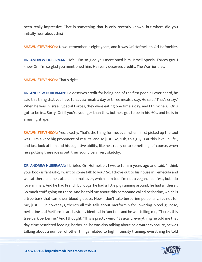been really impressive. That is something that is only recently known, but where did you initially hear about this?

**SHAWN STEVENSON:** Now I remember is eight years, and it was Ori Hofmekler. Ori Hofmekler.

DR. ANDREW HUBERMAN: He's... I'm so glad you mentioned him, Israeli Special Forces guy. I know Ori. I'm so glad you mentioned him. He really deserves credits, The Warrior diet.

SHAWN STEVENSON: That's right.

DR. ANDREW HUBERMAN: He deserves credit for being one of the first people I ever heard, he said this thing that you have to eat six meals a day or three meals a day. He said, "That's crazy." When he was in Israeli Special Forces, they were eating one time a day, and I think he's... Ori's got to be in... Sorry, Ori if you're younger than this, but he's got to be in his '60s, and he is in amazing shape.

**SHAWN STEVENSON:** Yes, exactly. That's the thing for me, even when I first picked up the tool was... I'm a very big proponent of results, and so just like, "Oh, this guy is at this level in life", and just look at him and his cognitive ability, like he's really onto something, of course, when he's putting these ideas out, they sound very, very sketchy.

DR. ANDREW HUBERMAN: I briefed Ori Hofmekler, I wrote to him years ago and said, "I think your book is fantastic, I want to come talk to you." So, I drove out to his house in Temecula and we sat there and he's also an animal lover, which I am too. I'm not a vegan, I confess, but I do love animals. And he had French bulldogs, he had a little pig running around, he had all these... So much stuff going on there. And he told me about this compound called berberine, which is a tree bark that can lower blood glucose. Now, I don't take berberine personally, it's not for me, just... But nowadays, there's all this talk about metformin for lowering blood glucose, berberine and Metformin are basically identical in function, and he was telling me, "There's this tree bark berberine." And I thought, "This is pretty weird." Basically, everything he told me that day, time restricted feeding, berberine, he was also talking about cold water exposure, he was talking about a number of other things related to high intensity training, everything he told

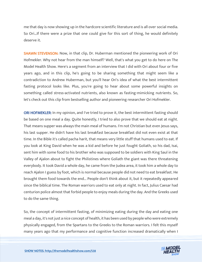me that day is now showing up in the hardcore scientific literature and is all over social media. So Ori…If there were a prize that one could give for this sort of thing, he would definitely deserve it.

SHAWN STEVENSON: Now, in that clip, Dr. Huberman mentioned the pioneering work of Ori Hofmekler. Why not hear from the man himself? Well, that's what you get to do here on The Model Health Show. Here's a segment from an interview that I did with Ori about four or five years ago, and in this clip, he's going to be sharing something that might seem like a contradiction to Andrew Huberman, but you'll hear Ori's idea of what the best intermittent fasting protocol looks like. Plus, you're going to hear about some powerful insights on something called stress-activated nutrients, also known as fasting-mimicking nutrients. So, let's check out this clip from bestselling author and pioneering researcher Ori Hofmekler.

ORI HOFMEKLER: In my opinion, and I've tried to prove it, the best intermittent fasting should be based on one meal a day. Quite honestly, I tried to also prove that we should eat at night. That means supper was always the main meal of humans. I'm not Christian but even Jesus says, his last supper. He didn't have his last breakfast because breakfast did not even exist at that time. In the Bible it's called pacha harit, that means very little stuff that humans used to eat. If you look at King David when he was a kid and before he just fought Goliath, so his dad, Isai, sent him with some food to his brother who was supposed to be soldiers with King Saul in the Valley of Ajalon about to fight the Philistines where Goliath the giant was there threatening everybody. It took David a whole day, he came from the Judea area, it took him a whole day to reach Ajalon I guess by foot, which is normal because people did not need to eat breakfast. He brought them food towards the end... People don't think about it, but it repeatedly appeared since the biblical time. The Roman warriors used to eat only at night. In fact, Julius Caesar had centurion police almost that forbid people to enjoy meals during the day. And the Greeks used to do the same thing.

So, the concept of intermittent fasting, of minimizing eating during the day and eating one meal a day, it's not just a nice concept of health, it has been used by people who were extremely physically engaged, from the Spartans to the Greeks to the Roman warriors. I felt this myself many years ago that my performance and cognitive function increased dramatically when I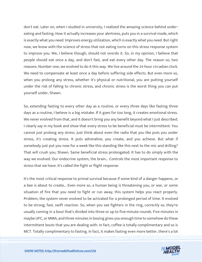don't eat. Later on, when I studied in university, I realized the amazing science behind undereating and fasting. How it actually increases your alertness, puts you in a survival mode, which is exactly what you need. Improves energy utilization, which is exactly what you need. But right now, we know with the science of stress that not eating turns on this stress response system to improve you. We, I believe though, should not overdo it. So, in my opinion, I believe that people should eat once a day, and don't fast, and eat every other day. The reason so, two reasons. Number one, we evolved to do it this way. We live around the 24-hour circadian clock. We need to compensate at least once a day before suffering side effects. But even more so, when you prolong any stress, whether it's physical or nutritional, you are putting yourself under the risk of falling to chronic stress, and chronic stress is the worst thing you can put yourself under, Shawn.

So, extending fasting to every other day as a routine, or every three days like fasting three days as a routine, I believe is a big mistake. If it goes for too long, it creates emotional stress. We never evolved from that, and it doesn't bring you any benefit beyond what I just described. I clearly say in my book and show that every stress to be beneficial must be intermittent. You cannot just prolong any stress. Just think about even the radio that you like puts you under stress, it's creating stress. It puts adrenaline, you create, and you achieve. But what if somebody just put you now for a week like this standing like this next to the mic and drilling? That will crush you, Shawn. Same beneficial stress prolongated. It has to do simply with the way we evolved. Our endocrine system, the brain... Controls the most important response to stress that we have. It's called the fight or flight response.

It's the most critical response to primal survival because if some kind of a danger happens, or a bee is about to create... Even more so, a human being is threatening you, or war, or some situation of fire that you need to fight or run away, this system helps you react properly. Problem, the system never evolved to be activated for a prolonged period of time. It evolved to be strong, fast, swift reaction. So, when you see fighters in the ring, correctly so, they're usually coming in a bout that's divided into three or up to five-minute rounds. Five minutes in maybe UFC, or MMA, and three minutes in boxing gives you enough time to somehow do these intermittent bouts that you are dealing with. In fact, coffee is totally complimentary and so is MCT. Totally complimentary to fasting. In fact, it makes fasting even more better, there's a lot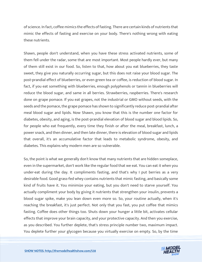of science. In fact, coffee mimics the effects of fasting. There are certain kinds of nutrients that mimic the effects of fasting and exercise on your body. There's nothing wrong with eating these nutrients.

Shawn, people don't understand, when you have these stress activated nutrients, some of them fell under the radar, some that are most important. Most people hardly ever, but many of them still exist in our food. So, listen to that, how about you eat blueberries, they taste sweet, they give you naturally occurring sugar, but this does not raise your blood sugar. The post-prandial effect of blueberries, or even green tea or coffee, is reduction of blood sugar. In fact, if you eat something with blueberries, enough polyphenols or tannin in blueberries will reduce the blood sugar, and same in all berries. Strawberries, raspberries. There's research done on grape pomace. If you eat grapes, not the industrial or GMO without seeds, with the seeds and the pomace, the grape pomace has shown to significantly reduce post-prandial after meal blood sugar and lipids. Now Shawn, you know that this is the number one factor for diabetes, obesity, and aging, is the post-prandial elevation of blood sugar and blood lipids. So, for people who eat frequently, every time they finish or after the meal, breakfast, lunch, a power snack, and then dinner, and then late dinner, there is elevation of blood sugar and lipids that overall, it's an accumulative factor that leads to metabolic syndrome, obesity, and diabetes. This explains why modern men are so vulnerable.

So, the point is what we generally don't know that many nutrients that are hidden someplace, even in the supermarket, don't work like the regular food that we eat. You can eat it when you under-eat during the day. It compliments fasting, and that's why I put berries as a very desirable food. Good grass-fed whey contains nutrients that mimic fasting, and basically some kind of fruits have it. You minimize your eating, but you don't need to starve yourself. You actually compliment your body by giving it nutrients that strengthen your insulin, prevents a blood sugar spike, make you lean down even more so. So, your routine actually, when it's reaching the breakfast, it's just perfect. Not only that you fast, you put coffee that mimics fasting. Coffee does other things too. Shuts down your hunger a little bit, activates cellular effects that improve your brain capacity, and your protective capacity. And then you exercise, as you described. You further deplete, that's stress principle number two, maximum impact. You deplete further your glycogen because you virtually exercise on empty. So, by the time

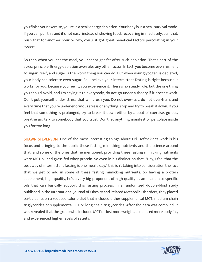you finish your exercise, you're in a peak energy depletion. Your body is in a peak survival mode. If you can pull this and it's not easy, instead of shoving food, recovering immediately, pull that, push that for another hour or two, you just got great beneficial factors percolating in your system.

So then when you eat the meal, you cannot get fat after such depletion. That's part of the stress principle. Energy depletion overrules any other factor. In fact, you become even resilient to sugar itself, and sugar is the worst thing you can do. But when your glycogen is depleted, your body can tolerate even sugar. So, I believe your intermittent fasting is right because it works for you, because you feel it, you experience it. There's no steady rule, but the one thing you should avoid, and I'm saying it to everybody, do not go under a theory if it doesn't work. Don't put yourself under stress that will crush you. Do not over-fast, do not over-train, and every time that you're under enormous stress or anything, stop and try to break it down. If you feel that something is prolonged, try to break it down either by a bout of exercise, go out, breathe air, talk to somebody that you trust. Don't let anything manifest or percolate inside you for too long.

**SHAWN STEVENSON:** One of the most interesting things about Ori Hofmekler's work is his focus and bringing to the public these fasting mimicking nutrients and the science around that, and some of the ones that he mentioned, providing these fasting mimicking nutrients were MCT oil and grass-fed whey protein. So even in his distinction that, "Hey, I feel that the best way of intermittent fasting is one meal a day," this isn't taking into consideration the fact that we get to add in some of these fasting mimicking nutrients. So having a protein supplement, high quality, he's a very big proponent of high quality as am I, and also specific oils that can basically support this fasting process. In a randomized double-blind study published in the International Journal of Obesity and Related Metabolic Disorders, they placed participants on a reduced calorie diet that included either supplemental MCT, medium chain triglycerides or supplemental LCT or long chain triglycerides. After the data was compiled, it was revealed that the group who included MCT oil lost more weight, eliminated more body fat, and experienced higher levels of satiety.

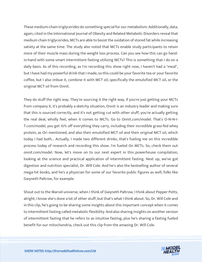These medium-chain triglycerides do something special for our metabolism. Additionally, data, again, cited in the International Journal of Obesity and Related Metabolic Disorders reveal that medium chain triglycerides, MCTs are able to boost the oxidation of stored fat while increasing satiety at the same time. The study also noted that MCTs enable study participants to retain more of their muscle mass during the weight loss process. Can you see how this can go handin-hand with some smart intermittent fasting utilizing MCTs? This is something that I do on a daily basis. As of this recording, as I'm recording this show right now, I haven't had a "meal", but I have had my powerful drink that I made, so this could be your favorite tea or your favorite coffee, but I also imbue it, combine it with MCT oil, specifically the emulsified MCT oil, or the original MCT oil from Onnit.

They do stuff the right way. They're sourcing it the right way, if you're just getting your MCTs from company X, it's probably a sketchy situation, Onnit is an industry leader and making sure that this is sourced correctly, and it's not getting cut with other stuff, you're actually getting the real deal, wholly feel, when it comes to MCTs. Go to Onnit.com/model. That's O-N-N-I-T.com/model, you get 10% off everything they carry, including their incredible grass-fed whey protein, as Ori mentioned, and also their emulsified MCT oil and their original MCT oil, which today I had both... Actually, I made two different drinks, that's fueling me on this incredible process today of research and recording this show. I'm fueled On MCTs. So, check them out onnit.com/model. Now, let's move on to our next expert in this powerhouse compilation, looking at the science and practical application of intermittent fasting. Next up, we've got digestion and nutrition specialist, Dr. Will Cole. And he's also the bestselling author of several mega-hit books, and he's a physician for some of our favorite public figures as well, folks like Gwyneth Paltrow, for example.

Shout out to the Marvel universe, when I think of Gwyneth Paltrow, I think about Pepper Potts, alright, I know she's done a lot of other stuff, but that's what I think about. So, Dr. Will Cole and in this clip, he's going to be sharing some insights about this important concept when it comes to intermittent fasting called metabolic flexibility. And also sharing insights on another version of intermittent fasting that he refers to as intuitive fasting, plus he's sharing a fasting fueled benefit for our mitochondria, check out this clip from the amazing Dr. Will Cole.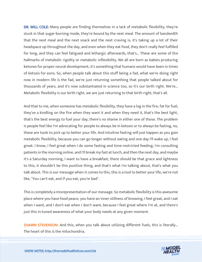DR. WILL COLE: Many people are finding themselves in a lack of metabolic flexibility, they're stuck in that sugar-burning mode, they're bound by the next meal. The amount of bandwidth that the next meal and the next snack and the next craving is, it's taking up a lot of their headspace up throughout the day, and even when they eat food, they don't really feel fulfilled for long, and they can feel fatigued and lethargic afterwards, that's... These are some of the hallmarks of metabolic rigidity or metabolic inflexibility. We all are born as babies producing ketones for proper neural development, it's something that humans would have been in times of ketosis for eons. So, when people talk about this stuff being a fad, what we're doing right now in modern life is the fad, we're just returning something that people talked about for thousands of years, and it's now substantiated in science too, so it's our birth right. We're... Metabolic flexibility is our birth right, we are just returning to that birth right, that's all.

And that to me, when someone has metabolic flexibility, they have a log in the fire, fat for fuel, they've a kindling on the fire when they want it and when they need it, that's the best light, that's the best energy to fuel your day, there's no shame in either one of those. The problem is people feel like I'm advocating for people to always be in ketosis or to always be fasting, no, these are tools to pick up to better your life. And intuitive fasting will just happen as you gain metabolic flexibility, because you can go longer without eating and one day I'll wake up, I feel great. I know, I feel great when I do some fasting and time-restricted feeding, I'm consulting patients in the morning online, and I'll break my fast at lunch, and then the next day, and maybe it's a Saturday morning, I want to have a breakfast, there should be that grace and lightness to this, it shouldn't be this punitive thing, and that's what I'm talking about, that's what you talk about. This is our message when it comes to this, this is a tool to better your life, we're not like, "You can't eat, and if you eat, you're bad".

This is completely a misrepresentation of our message. So metabolic flexibility is this awesome place where you have food peace, you have an inner stillness of knowing, I feel great, and I eat when I want, and I don't eat when I don't want, because I feel great where I'm at, and there's just this in-tuned awareness of what your body needs at any given moment.

**SHAWN STEVENSON:** And this, when you talk about utilizing different fuels, this is literally... The heart of this is the mitochondria.

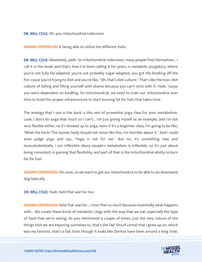DR. WILL COLE: Oh, yes, mitochondrial indecision.

**SHAWN STEVENSON: It being able to utilize the different fuels.** 

DR. WILL COLE: Absolutely, yeah. So mitochondrial indecision, many people find themselves... I call it in the book, and that's how I've been calling it for years, is metabolic purgatory, where you're not fully fat-adapted, you're not probably sugar-adapted, you got the kindling off the fire 'cause you're trying to diet and you're like, "Oh, that's diet culture." That's like the toxic diet culture of failing and filling yourself with shame because you can't stick with it. Yeah, 'cause you were dependent on kindling. So mitochondrial, we need to train our mitochondria over time to build the proper infrastructure to start burning fat for fuel, that takes time.

The analogy that I use in the book is this sort of proverbial yoga class for your metabolism. Look, I don't do yoga that much so I can't... I'm just giving myself as an example, and I'm not very flexible either, so if I showed up to yoga, even if it's a beginner class, I'm going to be like, "What the heck? The human body should not move like this, I'm horrible about it." And I could even judge yoga and say, "Yoga is not for me." But no, it's something new and musculoskeletally, I am inflexible. Many people's metabolism is inflexible, so it's just about being consistent in gaining that flexibility, and part of that is the mitochondrial ability to burn fat for fuel.

**SHAWN STEVENSON:** Oh, wow, so we want to get our mitochondria to be able to do downward dog basically.

DR. WILL COLE: Yeah, hold that warrior too.

**SHAWN STEVENSON:** Hold that warrior... I love that so much because essentially what happens with... We create these kinds of metabolic clogs with the way that we eat, especially the type of food that we're eating. As you mentioned a couple of times, just the very nature of the things that we are exposing ourselves to, that's the fad. Smurf cereal that I grew up on, which was my favorite, that's a fad. Even though it looks like Doritos have been around a long time,

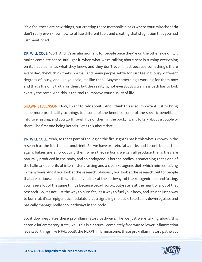it's a fad, these are new things, but creating these metabolic blocks where your mitochondria don't really even know how to utilize different fuels and creating that stagnation that you had just mentioned.

DR. WILL COLE: 100%. And it's an aha moment for people once they're on the other side of it, it makes complete sense. But I get it, when what we're talking about here is turning everything on its head as far as what they knew, and they don't even... Just because something's there every day, they'll think that's normal, and many people settle for just feeling lousy, different degrees of lousy, and like you said, it's like that... Maybe something's working for them now and that's the only truth for them, but the reality is, not everybody's wellness path has to look exactly the same. And this is the tool to improve your quality of life.

**SHAWN STEVENSON:** Now, I want to talk about... And I think this is so important just to bring some more practicality to things too, some of the benefits, some of the specific benefits of intuitive fasting, and you go through five of them in the book, I want to talk about a couple of them. The first one being ketosis. Let's talk about that.

DR. WILL COLE: Yeah, so that's part of the log on the fire, right? That is this what's known in the research as the fourth macronutrient. So, we have protein, fats, carbs and ketone bodies that again, babies are all producing them when they're born, we can all produce them, they are naturally produced in the body, and so endogenous ketone bodies is something that's one of the hallmark benefits of intermittent fasting and a clean ketogenic diet, which mimics fasting in many ways. And if you look at the research, obviously you look at the research, but for people that are curious about this, is that if you look at the pathways of the ketogenic diet and fasting, you'll see a lot of the same things because beta-hydroxybutyrate is at the heart of a lot of that research. So, it's not just the way to burn fat, it's a way to fuel your body, and it's not just a way to burn fat, it's an epigenetic modulator, it's a signaling molecule to actually downregulate and basically manage really cool pathways in the body.

So, it downregulates these proinflammatory pathways, like we just were talking about, this chronic inflammatory state, well, this is a natural, completely free way to lower inflammation levels; so, things like NF-kappaB, the NLRP3 inflammasome, these pro-inflammatory pathways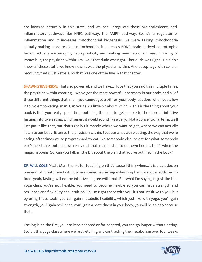are lowered naturally in this state, and we can upregulate these pro-antioxidant, antiinflammatory pathways like NRF2 pathway, the AMPK pathway. So, it's a regulator of inflammation and it increases mitochondrial biogenesis, we were talking mitochondria actually making more resilient mitochondria, it increases BDNF, brain-derived neurotrophic factor, actually encouraging neuroplasticity and making new neurons. I keep thinking of Paracelsus, the physician within. I'm like, "That dude was right. That dude was right." He didn't know all these stuffs we know now; it was the physician within. And autophagy with cellular recycling, that's just ketosis. So that was one of the five in that chapter.

**SHAWN STEVENSON:** That's so powerful, and we have... I love that you said this multiple times, the physician within creating... We've got the most powerful pharmacy in our body, and all of these different things that, man, you cannot get a pill for, your body just does when you allow it to. So empowering, man. Can you talk a little bit about which...? This is the thing about your book is that you really spend time outlining the plan to get people to the place of intuitive fasting, intuitive eating, which again, it would sound like a very... Not a conventional term, we'll just put it like that, but that's really ultimately where we want to get, where we can actually listen to our body, listen to the physician within. Because what we're eating, the way that we're eating oftentimes we're programmed to eat like somebody else, to eat for what somebody else's needs are, but once we really dial that in and listen to our own bodies, that's when the magic happens. So, can you talk a little bit about the plan that you've outlined in the book?

DR. WILL COLE: Yeah. Man, thanks for touching on that 'cause I think when... It is a paradox on one end of it, intuitive fasting when someone's in sugar-burning hangry mode, addicted to food, yeah, fasting will not be intuitive, I agree with that. But what I'm saying is, just like that yoga class, you're not flexible, you need to become flexible so you can have strength and resilience and flexibility and intuition. So, I'm right there with you, it's not intuitive to you, but by using these tools, you can gain metabolic flexibility, which just like with yoga, you'll gain strength, you'll gain resilience, you'll gain a rootedness in your body, you will be able to because that...

The log is on the fire, you are keto-adapted or fat-adapted, you can go longer without eating. So, it is this yoga class where we're stretching and contracting the metabolism over four weeks

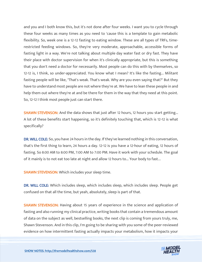and you and I both know this, but it's not done after four weeks. I want you to cycle through these four weeks as many times as you need to 'cause this is a template to gain metabolic flexibility. So, week one is a 12-12 fasting to eating window. These are all types of TRFs, timerestricted feeding windows. So, they're very moderate, approachable, accessible forms of fasting light in a way. We're not talking about multiple day water fast or dry fast. They have their place with doctor supervision for when it's clinically appropriate, but this is something that you don't need a doctor for necessarily. Most people can do this with by themselves, so 12-12 is, I think, so under-appreciated. You know what I mean? It's like the fasting... Militant fasting people will be like, "That's weak. That's weak. Why are you even saying that?" But they have to understand most people are not where they're at. We have to lean these people in and help them out where they're at and be there for them in the way that they need at this point. So, 12-12 I think most people just can start there.

SHAWN STEVENSON: And the data shows that just after 12 hours, 12 hours you start getting... A lot of these benefits start happening, so it's definitely touching that, which is 12-12 is what specifically?

DR. WILL COLE: So, you have 24 hours in the day. If they've learned nothing in this conversation, that's the first thing to learn, 24 hours a day. 12-12 is you have a 12-hour of eating, 12 hours of fasting. So 8:00 AM to 8:00 PM, 7:00 AM to 7:00 PM. Have it work with your schedule. The goal of it mainly is to not eat too late at night and allow 12 hours to... Your body to fast...

SHAWN STEVENSON: Which includes your sleep time.

DR. WILL COLE: Which includes sleep, which includes sleep, which includes sleep. People get confused on that all the time, but yeah, absolutely, sleep is part of that.

**SHAWN STEVENSON:** Having about 15 years of experience in the science and application of fasting and also running my clinical practice, writing books that contain a tremendous amount of data on the subject as well, bestselling books, the next clip is coming from yours truly, me, Shawn Stevenson. And in this clip, I'm going to be sharing with you some of the peer-reviewed evidence on how intermittent fasting actually impacts your metabolism, how it impacts your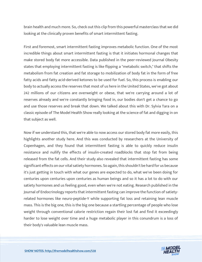brain health and much more. So, check out this clip from this powerful masterclass that we did looking at the clinically proven benefits of smart intermittent fasting.

First and foremost, smart intermittent fasting improves metabolic function. One of the most incredible things about smart intermittent fasting is that it initiates hormonal changes that make stored body fat more accessible. Data published in the peer-reviewed Journal Obesity states that employing intermittent fasting is like flipping a "metabolic switch," that shifts the metabolism from fat creation and fat storage to mobilization of body fat in the form of free fatty acids and fatty acid-derived ketones to be used for fuel. So, this process is enabling our body to actually access the reserves that most of us here in the United States, we've got about 242 millions of our citizens are overweight or obese, that we're carrying around a lot of reserves already and we're constantly bringing food in, our bodies don't get a chance to go and use those reserves and break that down. We talked about this with Dr. Sylvia Tara on a classic episode of The Model Health Show really looking at the science of fat and digging in on that subject as well.

Now if we understand this, that we're able to now access our stored body fat more easily, this highlights another study here. And this was conducted by researchers at the University of Copenhagen, and they found that intermittent fasting is able to quickly reduce insulin resistance and nullify the effects of insulin-created roadblocks that stop fat from being released from the fat cells. And their study also revealed that intermittent fasting has some significant effects on our vital satiety hormones. So again, this shouldn't be hard for us because it's just getting in touch with what our genes are expected to do, what we've been doing for centuries upon centuries upon centuries as human beings and so it has a lot to do with our satiety hormones and us feeling good, even when we're not eating. Research published in the Journal of Endocrinology reports that intermittent fasting can improve the function of satietyrelated hormones like neuro-peptide-Y while supporting fat loss and retaining lean muscle mass. This is the big one, this is the big one because a startling percentage of people who lose weight through conventional calorie restriction regain their lost fat and find it exceedingly harder to lose weight over time and a huge metabolic player in this conundrum is a loss of their body's valuable lean muscle mass.

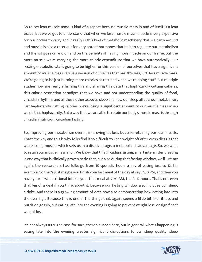So to say lean muscle mass is kind of a repeat because muscle mass in and of itself is a lean tissue, but we've got to understand that when we lose muscle mass, muscle is very expensive for our bodies to carry and it really is this kind of metabolic machinery that we carry around and muscle is also a reservoir for very potent hormones that help to regulate our metabolism and the list goes on and on and on the benefits of having more muscle on our frame, but the more muscle we're carrying, the more caloric expenditure that we have automatically. Our resting metabolic rate is going to be higher for this version of ourselves that has a significant amount of muscle mass versus a version of ourselves that has 20% less, 25% less muscle mass. We're going to be just burning more calories at rest and when we're doing stuff. But multiple studies now are really affirming this and sharing this data that haphazardly cutting calories, this caloric restriction paradigm that we have and not understanding the quality of food, circadian rhythms and all these other aspects, sleep and how our sleep affects our metabolism, just haphazardly cutting calories, we're losing a significant amount of our muscle mass when we do that haphazardly. But a way that we are able to retain our body's muscle mass is through circadian nutrition, circadian fasting.

So, improving our metabolism overall, improving fat loss, but also retaining our lean muscle. That's the key and this is why folks find it so difficult to keep weight off after crash diets is that we're losing muscle, which sets us in a disadvantage, a metabolic disadvantage. So, we want to retain our muscle mass and... We know that this circadian fasting, smart intermittent fasting is one way that is clinically proven to do that, but also during that fasting window, we'll just say again, the researchers had folks go from 15 sporadic hours a day of eating just to 12, for example. So that's just maybe you finish your last meal of the day at say, 7:30 PM, and then you have your first nutritional intake, your first meal at 7:30 AM, that's 12 hours. That's not even that big of a deal if you think about it, because our fasting window also includes our sleep, alright. And there is a growing amount of data now also demonstrating how eating late into the evening... Because this is one of the things that, again, seems a little bit like fitness and nutrition gossip, but eating late into the evening is going to prevent weight loss, or significant weight loss.

It's not always 100% the case for sure, there's nuance here, but in general, what's happening is eating late into the evening creates significant disruptions to our sleep quality, sleep

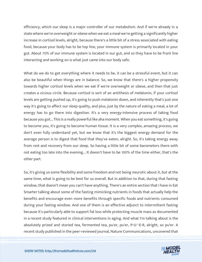efficiency, which our sleep is a major controller of our metabolism. And if we're already in a state where we're overweight or obese when we eat a meal we're getting a significantly higher increase in cortisol levels, alright, because there's a little bit of a stress associated with eating food, because your body has to be top line, your immune system is primarily located in your gut. About 70% of our immune system is located in our gut, and so they have to be front line interacting and working on is what just came into our body safe.

What do we do to get everything where it needs to be, it can be a stressful event, but it can also be beautiful when things are in balance. So, we know that there's a higher propensity towards higher cortisol levels when we eat if we're overweight or obese, and then that just creates a vicious circle. Because cortisol is sort of an antithesis of melatonin, if your cortisol levels are getting pushed up, it's going to push melatonin down, and inherently that's just one way it's going to affect our sleep quality, and plus, just by the nature of eating a meal, a lot of energy has to go there into digestion. It's a very energy-intensive process of taking food because you got... This is a really powerful like aha moment. When you eat something, it's going to become you, it's going to become human tissue. It is a very complex, amazing process, we don't even fully understand yet, but we know that it's the biggest energy demand for the average person is to digest that food that they've eaten, alright. So, it's taking energy away from rest and recovery from our sleep. So having a little bit of some barometers there with not eating too late into the evening... It doesn't have to be 100% of the time either, that's the other part.

So, it's giving us some flexibility and some freedom and not being neurotic about it, but at the same time, what is going to be best for us overall. But in addition to that, during that fasting window, that doesn't mean you can't have anything. There's an entire section that I have in Eat Smarter talking about some of the fasting mimicking nutrients in foods that actually help the benefits and encourage even more benefits through specific foods and nutrients consumed during your fasting window. And one of them is an effective adjunct to intermittent fasting because it's particularly able to support fat loss while protecting muscle mass as documented in a recent study featured in clinical interventions in aging. And what I'm talking about is the absolutely prized and storied tea, fermented tea, pu'er, pu'er, P-U-'-E-R, alright, so pu'er. A recent study published in the peer-reviewed journal, Nature Communications, uncovered that

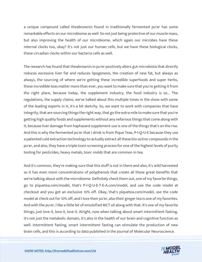a unique compound called theabrownin found in traditionally fermented pu'er has some remarkable effects on our microbiome as well. So not just being protective of our muscle mass, but also improving the health of our microbiome, which again our microbes have these internal clocks too, okay? It's not just our human cells, but we have these biological clocks, these circadian clocks within our bacteria cells as well.

The research has found that theabrownin in pu'er positively alters gut microbiota that directly reduces excessive liver fat and reduces lipogenesis, the creation of new fat, but always as always, the sourcing of where we're getting these incredible superfoods and super herbs, these incredible teas matter more than ever, you want to make sure that you're getting it from the right place, because today, the supplement industry, the food industry is so... The regulations, the supply chains, we've talked about this multiple times in the show with some of the leading experts in it, it's a bit sketchy. So, we want to work with companies that have integrity, that are sourcing things the right way, that go the extra mile to make sure that you're getting high quality foods and supplements without any nefarious things that come along with it, because liver damage from haphazard supplement use is one of the things that's on the rise. And this is why the fermented pu'er that I drink is from Pique Teas, P-I-Q-U-E because they use a patented cold extraction technology to actually extract all these bio-active compounds in the pu'er, and also, they have a triple toxin screening process for one of the highest levels of purity testing for pesticides, heavy metals, toxic molds that are common in tea.

And it's common, they're making sure that this stuff is not in there and also, it's wild harvested so it has even more concentrations of polyphenols that create all these great benefits that we're talking about with the microbiome. Definitely check them out, one of my favorite things, go to piquetea.com/model, that's P-I-Q-U-E-T-E-A.com/model, and use the code model at checkout and you get an exclusive 10% off. Okay, that's piquetea.com/model, use the code model at check out for 10% off, and I love their pu'er, also their ginger tea is one of my favorites. And with the pu'er, I like a little bit of emulsified MCT oil along with that. It's one of my favorite things, just love it, love it, love it. Alright, now when talking about smart intermittent fasting, it's not just the metabolic domain, it's also in the health of our brain and cognitive function as well. Intermittent fasting, smart intermittent fasting can stimulate the production of new brain cells, and this is according to data published in the Journal of Molecular Neuroscience.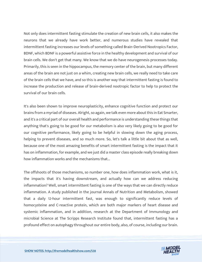Not only does intermittent fasting stimulate the creation of new brain cells, it also makes the neurons that we already have work better, and numerous studies have revealed that intermittent fasting increases our levels of something called Brain-Derived Nootropics Factor, BDNF, which BDNF is a powerful assistive force in the healthy development and survival of our brain cells. We don't get that many. We know that we do have neurogenesis processes today. Primarily, this is seen in the hippocampus, the memory center of the brain, but many different areas of the brain are not just on a whim, creating new brain cells, we really need to take care of the brain cells that we have, and so this is another way that intermittent fasting is found to increase the production and release of brain-derived nootropic factor to help to protect the survival of our brain cells.

It's also been shown to improve neuroplasticity, enhance cognitive function and protect our brains from a myriad of diseases. Alright, so again, we talk even more about this in Eat Smarter, and it's a critical part of our overall health and performance is understanding these things that anything that's going to be good for our metabolism is also very likely going to be good for our cognitive performance, likely going to be helpful in slowing down the aging process, helping to prevent diseases, and so much more. So, let's talk a little bit about that as well, because one of the most amazing benefits of smart intermittent fasting is the impact that it has on inflammation, for example, and we just did a master class episode really breaking down how inflammation works and the mechanisms that...

The offshoots of those mechanisms, so number one, how does inflammation work, what is it, the impacts that it's having downstream, and actually how can we address reducing inflammation? Well, smart intermittent fasting is one of the ways that we can directly reduce inflammation. A study published in the journal Annals of Nutrition and Metabolism, showed that a daily 12-hour intermittent fast, was enough to significantly reduce levels of homocysteine and C-reactive protein, which are both major markers of heart disease and systemic inflammation, and in addition, research at the Department of Immunology and microbial Science at The Scripps Research Institute found that, intermittent fasting has a profound effect on autophagy throughout our entire body, also, of course, including our brain.

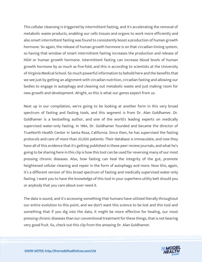This cellular cleansing is triggered by intermittent fasting, and it's accelerating the removal of metabolic waste products, enabling our cells tissues and organs to work more efficiently and also smart intermittent fasting was found to consistently boost a production of human growth hormone. So again, the release of human growth hormone is on that circadian timing system, so having that window of smart intermittent fasting increases the production and release of HGH or human growth hormone. Intermittent fasting can increase blood levels of human growth hormone by as much as five-fold, and this is according to scientists at the University of Virginia Medical School. So much powerful information to behold here and the benefits that we see just by getting an alignment with circadian nutrition, circadian fasting and allowing our bodies to engage in autophagy and cleaning out metabolic waste and just making room for new growth and development. Alright, so this is what our genes expect from us.

Next up in our compilation, we're going to be looking at another form in this very broad spectrum of fasting and fasting tools, and this segment is from Dr. Alan Goldhamer. Dr. Goldhamer is a bestselling author, and one of the world's leading experts on medically supervised water-only fasting. In 1984, Dr. Goldhamer founded and became the director of TrueNorth Health Center in Santa Rosa, California. Since then, he has supervised the fasting protocols and care of more than 20,000 patients. Their database is immaculate, and now they have all of this evidence that it's getting published in these peer review journals, and what he's going to be sharing here in this clip is how this tool can be used for reversing many of our most pressing chronic diseases. Also, how fasting can heal the integrity of the gut, promote heightened cellular cleaning and repair in the form of autophagy and more. Now this, again, it's a different version of this broad spectrum of fasting and medically supervised water-only fasting. I want you to have the knowledge of this tool in your superhero utility belt should you or anybody that you care about ever need it.

The data is sound, and it's accessing something that humans have utilized literally throughout our entire evolution to this point, and we don't want this science to be lost and this tool and something that if you dig into the data, it might be more effective for healing, our most pressing chronic diseases than our conventional treatment for these things, that is not bearing very good fruit. So, check out this clip from the amazing Dr. Alan Goldhamer.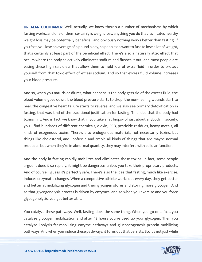DR. ALAN GOLDHAMER: Well, actually, we know there's a number of mechanisms by which fasting works, and one of them certainly is weight loss, anything you do that facilitates healthy weight loss may be potentially beneficial, and obviously nothing works better than fasting. If you fast, you lose an average of a pound a day, so people do want to fast to lose a lot of weight, that's certainly at least part of the beneficial effect. There's also a naturally attic effect that occurs where the body selectively eliminates sodium and flushes it out, and most people are eating these high salt diets that allow them to hold lots of extra fluid in order to protect yourself from that toxic effect of excess sodium. And so that excess fluid volume increases your blood pressure.

And so, when you naturis or diures, what happens is the body gets rid of the excess fluid, the blood volume goes down, the blood pressure starts to drop, the non-healing wounds start to heal, the congestive heart failure starts to reverse, and we also see primary detoxification in fasting, that was kind of the traditional justification for fasting. This idea that the body had toxins in it. And in fact, we know that, if you take a fat biopsy of just about anybody in society, you'll find hundreds of different chemicals, dioxin, PCB, pesticide residues, heavy metals, all kinds of exogenous toxins. There's also endogenous materials, not necessarily toxins, but things like cholesterol, and lipofuscin and creole all kinds of things that are maybe normal products, but when they're in abnormal quantity, they may interfere with cellular function.

And the body in fasting rapidly mobilizes and eliminates these toxins. In fact, some people argue it does it so rapidly, it might be dangerous unless you take their proprietary products. And of course, I guess it's perfectly safe. There's also the idea that fasting, much like exercise, induces enzymatic changes. When a competitive athlete works out every day, they get better and better at mobilizing glycogen and their glycogen stores and storing more glycogen. And so that glycogenolysis process is driven by enzymes, and so when you exercise and you force glycogenolysis, you get better at it.

You catalyze these pathways. Well, fasting does the same thing. When you go on a fast, you catalyze glycogen mobilization and after 48 hours you've used up your glycogen. Then you catalyze lipolysis fat-mobilizing enzyme pathways and gluconeogenesis protein mobilizing pathways. And when you induce these pathways, it turns out that persists. So, it's not just while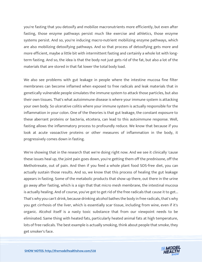you're fasting that you detoxify and mobilize macronutrients more efficiently, but even after fasting, those enzyme pathways persist much like exercise and athletics, those enzyme systems persist. And so, you're inducing macro-nutrient mobilizing enzyme pathways, which are also mobilizing detoxifying pathways. And so that process of detoxifying gets more and more efficient, maybe a little bit with intermittent fasting and certainly a whole lot with longterm fasting. And so, the idea is that the body not just gets rid of the fat, but also a lot of the materials that are stored in that fat lower the total body load.

We also see problems with gut leakage in people where the intestine mucosa fine filter membranes can become inflamed when exposed to free radicals and leak materials that in genetically vulnerable people simulates the immune system to attack those particles, but also their own tissues. That's what autoimmune disease is where your immune system is attacking your own body. So ulcerative colitis where your immune system is actually responsible for the inflammation in your colon. One of the theories is that gut leakage, the constant exposure to these aberrant proteins or bacteria, etcetera, can lead to this autoimmune response. Well, fasting allows the inflammatory process to profoundly reduce. We know that because if you look at acute vasoactive proteins or other measures of inflammation in the body, it progressively comes down in fasting.

We're showing that in the research that we're doing right now. And we see it clinically 'cause these issues heal up, the joint pain goes down, you're getting them off the prednisone, off the Methotrexate, out of pain. And then if you feed a whole plant food SOS-free diet, you can actually sustain those results. And so, we know that this process of healing the gut leakage appears in fasting. Some of the metabolic products that show up there, out there in the urine go away after fasting, which is a sign that that micro mesh membrane, the intestinal mucosa is actually healing. And of course, you've got to get rid of the free radicals that cause it to get... That's why you can't drink, because drinking alcohol bathes the body in free radicals, that's why you get cirrhosis of the liver, which is essentially scar tissue, including from wine, even if it's organic. Alcohol itself is a nasty toxic substance that from our viewpoint needs to be eliminated. Same thing with heated fats, particularly heated animal fats at high temperature, lots of free radicals. The best example is actually smoking, think about people that smoke, they get smoker's face.

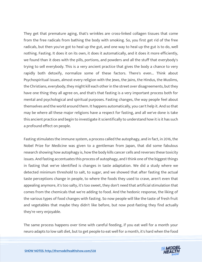They get that premature aging, that's wrinkles are cross-linked collagen tissues that come from the free radicals from bathing the body with smoking. So, you first get rid of the free radicals, but then you've got to heal up the gut, and one way to heal up the gut is to do, well nothing. Fasting. It does it on its own, it does it automatically, and it does it more efficiently, we found than it does with the pills, portions, and powders and all the stuff that everybody's trying to sell everybody. This is a very ancient practice that gives the body a chance to very rapidly both detoxify, normalize some of these factors. There's even... Think about Psychospiritual issues, almost every religion with the Jews, the Jains, the Hindus, the Muslims, the Christians, everybody, they might kill each other in the street over disagreements, but they have one thing they all agree on, and that's that fasting is a very important process both for mental and psychological and spiritual purposes. Fasting changes, the way people feel about themselves and the world around them. It happens automatically, you can't help it. And so that may be where all these major religions have a respect for fasting, and all we've done is take this ancient practice and begin to investigate it scientifically to understand how it is it has such a profound effect on people.

Fasting stimulates the immune system, a process called the autophagy, and in fact, in 2016, the Nobel Prize for Medicine was given to a gentleman from Japan, that did some fabulous research showing how autophagy is, how the body kills cancer cells and reverses these toxicity issues. And fasting accentuates this process of autophagy, and I think one of the biggest things in fasting that we've identified is changes in taste adaptation. We did a study where we detected minimum threshold to salt, to sugar, and we showed that after fasting the actual taste perceptions change in people, to where the foods they used to crave, aren't even that appealing anymore, it's too salty, it's too sweet, they don't need that artificial stimulation that comes from the chemicals that we're adding to food. And the hedonic response, the liking of the various types of food changes with fasting. So now people will like the taste of fresh fruit and vegetables that maybe they didn't like before, but now post-fasting they find actually they're very enjoyable.

The same process happens over time with careful feeding, if you eat well for a month your neuro adapts to low salt diet, but to get people to eat well for a month, it's hard when the food

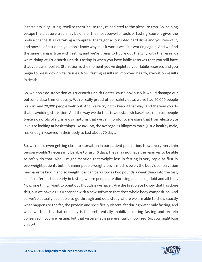is tasteless, disgusting, swell to them 'cause they're addicted to the pleasure trap. So, helping escape the pleasure trap, may be one of the most powerful tools of fasting 'cause it gives the body a chance. It's like taking a computer that's got a corrupted hard drive and you reboot it, and now all of a sudden you don't know why, but it works well, it's working again. And we find the same thing is true with fasting and we're trying to figure out the why with the research we're doing at TrueNorth Health. Fasting is when you have labile reserves that you still have that you can mobilize. Starvation is the moment you've depleted your labile reserves and you begin to break down vital tissues. Now, fasting results in improved health, starvation results in death.

So, we don't do starvation at TrueNorth Health Center 'cause obviously it would damage our outcome data tremendously. We're really proud of our safety data, we've had 20,000 people walk in, and 20,000 people walk out. And we're trying to keep it that way. And the way you do that is avoiding starvation. And the way we do that is we establish baselines, monitor people twice a day, lots of signs and symptoms that we can monitor to measure that from electrolyte levels to looking at basic things like BMI. So, the average 70-kilogram male, just a healthy male, has enough reserves in their body to fast about 70 days.

So, we're not even getting close to starvation in our patient population. Now a very, very thin person wouldn't necessarily be able to fast 40 days, they may not have the reserves to be able to safely do that. Also, I might mention that weight loss in fasting is very rapid at first in overweight patients but in thinner people weight loss is much slower, the body's conservation mechanisms kick in and so weight loss can be as low as two pounds a week deep into the fast, so it's different than early in fasting where people are diuresing and losing fluid and all that. Now, one thing I want to point out though is we have... Are the first place I know that has done this, but we have a DEXA scanner with a new software that does whole body composition. And so, we've actually been able to go through and do a study where we are able to show exactly what happens to the fat, the protein and specifically visceral fat during water only fasting, and what we found is that not only is fat preferentially mobilized during fasting and protein conserved if you are resting, but that visceral fat is preferentially mobilized. So, you might lose 20% of...

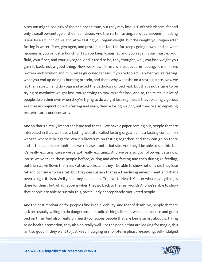A person might lose 20% of their adipose tissue, but they may lose 50% of their visceral fat and only a small percentage of their lean tissue. And then after fasting, so what happens in fasting is you lose a bunch of weight. After fasting you regain weight, but the weight you regain after fasting is water, fiber, glycogen, and protein, not fat. The fat keeps going down, and so what happens is you've lost a bunch of fat, you keep losing fat and you regain your muscle, your fluid, your fiber, and your glycogen. And it used to be, they thought, well, you lose weight you gain it back, not a good thing. Now we know, if rest is introduced in fasting, it minimizes protein mobilization and minimizes gluconeogenesis. If you're too active when you're fasting, what you end up doing is burning protein, and that's why we insist on a resting state. Now we let them stretch and do yoga and avoid the pathology of bed rest, but that's not a time to be trying to maximize weight loss, you're trying to maximize fat loss. And so, the mistake a lot of people do on their own when they're trying to do weight loss regimes, is they're doing vigorous exercise in conjunction with fasting and yeah, they're losing weight, but they're also depleting protein stores unnecessarily.

And so that's a really important issue and that's... We have a paper coming out, people that are interested in that, we have a fasting website, called fasting.org, which is a fasting companion website where it brings the world's literature on fasting together, and they can go on there and as the papers are published, we release it onto that site. And they'll be able to see this, but it's really exciting 'cause we've got really exciting... And we've also got follow-up data now, 'cause we've taken these people before, during and after fasting and then during re-feeding, but then we've flown them back at six weeks, and they'll be able to show not only did they lose fat and continue to lose fat, but they can sustain that in a free-living environment and that's been a big criticism. Well yeah, they can do it at TrueNorth Health Center where everything is done for them, but what happens when they go back to the real world? And we're able to show that people are able to sustain this, particularly appropriately motivated people.

And the best motivation for people I find is pain, debility, and fear of death. So, people that are sick are usually willing to do dangerous and radical things like eat well and exercise and go to bed on time. And also, really on health-conscious people that are being smart about it, trying to do health promotion, they also do really well. For the people that are looking for magic, this isn't so good. If they want to just keep indulging in short-term pleasure-seeking, self-indulged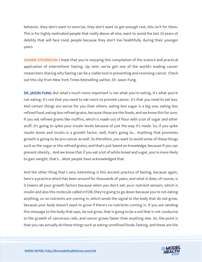behavior, they don't want to exercise, they don't want to get enough rest, this isn't for them. This is for highly motivated people that really above all else, want to avoid the last 20 years of debility that will face most people because they don't live healthfully during their younger years.

**SHAWN STEVENSON: I** hope that you're enjoying this compilation of the science and practical application of intermittent fasting. Up next, we've got one of the world's leading cancer researchers sharing why fasting can be a viable tool in preventing and reversing cancer. Check out this clip from New York Times bestselling author, Dr. Jason Fung.

DR. JASON FUNG: But what's much more important is not what you're eating, it's what you're not eating. It's not that you need to eat more to prevent cancer, it's that you need to eat less. And certain things are worse for you than others, eating less sugar is a big one, eating less refined food, eating less refined grains, because those are the foods, and we know this for sure. If you eat refined grains like muffins, which is made out of flour with a lot of sugar and other stuff, it's going to spike your insulin levels because of just the way it's made. So, if you spike insulin levels and insulin is a growth factor, well, that's going to... Anything that promotes growth is going to be pro-cancer as well. So therefore, you want to avoid some of these things such as the sugar or the refined grains, and that's just based on knowledge, because if you can prevent obesity... And we know that if you eat a lot of white bread and sugar, you're more likely to gain weight, that's... Most people have acknowledged that.

And the other thing that's very interesting is this ancient practice of fasting, because again, here's a practice which has been around for thousands of years, and what it does, of course, is it lowers all your growth factors because when you don't eat, your nutrient sensors, which is insulin and also this molecule called mTOR, they're going to go down because you're not eating anything, so no nutrients are coming in, which sends the signal to the body that do not grow, because your body doesn't want to grow if there's no nutrients coming in. If you are sending this message to the body that says, do not grow, that is going to be a soil that is not conducive to the growth of cancerous cells, and cancer grows faster than anything else. So, the point is that you can actually do these things such as eating unrefined foods, fasting, and these are the

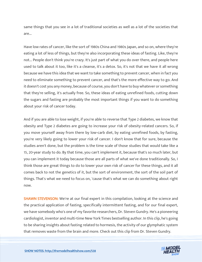same things that you see in a lot of traditional societies as well as a lot of the societies that are...

Have low rates of cancer, like the sort of 1980s China and 1980s Japan, and so on, where they're eating a lot of less of things, but they're also incorporating these ideas of fasting. Like, they're not... People don't think you're crazy. It's just part of what you do over there, and people here used to talk about it too, like it's a cleanse, it's a detox. So, it's not that we have it all wrong because we have this idea that we want to take something to prevent cancer, when in fact you need to eliminate something to prevent cancer, and that's the more effective way to go. And it doesn't cost you any money, because of course, you don't have to buy whatever or something that they're selling, it's actually free. So, these ideas of eating unrefined foods, cutting down the sugars and fasting are probably the most important things if you want to do something about your risk of cancer today.

And if you are able to lose weight, if you're able to reverse that Type 2 diabetes, we know that obesity and Type 2 diabetes are going to increase your risk of obesity-related cancers. So, if you move yourself away from there by low-carb diet, by eating unrefined foods, by fasting, you're very likely going to lower your risk of cancer. I don't know that for sure, because the studies aren't done, but the problem is the time scale of those studies that would take like a 15, 20-year study to do. By that time, you can't implement it, because that's so much later, but you can implement it today because those are all parts of what we've done traditionally. So, I think those are great things to do to lower your own risk of cancer for these things, and it all comes back to not the genetics of it, but the sort of environment, the sort of the soil part of things. That's what we need to focus on, 'cause that's what we can do something about right now.

SHAWN STEVENSON: We're at our final expert in this compilation, looking at the science and the practical application of fasting, specifically intermittent fasting, and for our final expert, we have somebody who's one of my favorite researchers, Dr. Steven Gundry. He's a pioneering cardiologist, inventor and multi-time New York Times bestselling author. In this clip, he's going to be sharing insights about fasting related to hormesis, the activity of our glymphatic system that removes waste from the brain and more. Check out this clip from Dr. Steven Gundry.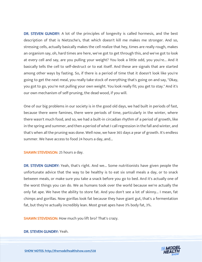DR. STEVEN GUNDRY: A lot of the principles of longevity is called hormesis, and the best description of that is Nietzsche's, that which doesn't kill me makes me stronger. And so, stressing cells, actually basically makes the cell realize that hey, times are really rough, makes an organism say, oh, hard times are here, we've got to get through this, and we've got to look at every cell and say, are you pulling your weight? You look a little odd, you you're... And it basically tells the cell to self-destruct or to eat itself. And these are signals that are started among other ways by fasting. So, if there is a period of time that it doesn't look like you're going to get the next meal, you really take stock of everything that's going on and say, "Okay, you got to go, you're not pulling your own weight. You look really fit; you get to stay." And it's our own mechanism of self-pruning, the dead wood, if you will.

One of our big problems in our society is in the good old days, we had built in periods of fast, because there were famines, there were periods of time, particularly in the winter, where there wasn't much food, and so, we had a built-in circadian rhythm of a period of growth, like in the spring and summer, and then a period of what I call regression in the fall and winter, and that's when all the pruning was done. Well now, we have 365 days a year of growth. It's endless summer. We have access to food 24 hours a day, and...

SHAWN STEVENSON: 25 hours a day.

DR. STEVEN GUNDRY: Yeah, that's right. And we... Some nutritionists have given people the unfortunate advice that the way to be healthy is to eat six small meals a day, or to snack between meals, or make sure you take a snack before you go to bed. And it's actually one of the worst things you can do. We as humans took over the world because we're actually the only fat ape. We have the ability to store fat. And you don't see a lot of skinny... I mean, fat chimps and gorillas. Now gorillas look fat because they have giant gut, that's a fermentation fat, but they're actually incredibly lean. Most great apes have 3% body fat, 3%.

SHAWN STEVENSON: How much you lift bro? That's crazy.

#### DR. STEVEN GUNDRY: Yeah.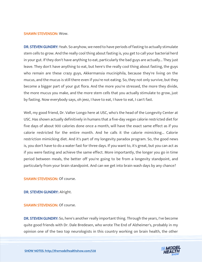#### SHAWN STEVENSON: Wow.

DR. STEVEN GUNDRY: Yeah. So anyhow, we need to have periods of fasting to actually stimulate stem cells to grow. And the really cool thing about fasting is, you get to call your bacterial herd in your gut. If they don't have anything to eat, particularly the bad guys are actually... They just leave. They don't have anything to eat, but here's the really cool thing about fasting, the guys who remain are these crazy guys, Akkermansia muciniphila, because they're living on the mucus, and the mucus is still there even if you're not eating. So, they not only survive, but they become a bigger part of your gut flora. And the more you're stressed, the more they divide, the more mucus you make, and the more stem cells that you actually stimulate to grow, just by fasting. Now everybody says, oh jeez, I have to eat, I have to eat, I can't fast.

Well, my good friend, Dr. Valter Longo here at USC, who's the head of the Longevity Center at USC. Has shown actually definitively in humans that a five-day vegan calorie restricted diet for five days of about 900 calories done once a month, will have the exact same effect as if you calorie restricted for the entire month. And he calls it the calorie mimicking... Calorie restriction mimicking diet. And it's part of my longevity paradox program. So, the good news is, you don't have to do a water fast for three days. If you want to, it's great, but you can act as if you were fasting and achieve the same effect. More importantly, the longer you go in time period between meals, the better off you're going to be from a longevity standpoint, and particularly from your brain standpoint. And can we get into brain wash days by any chance?

SHAWN STEVENSON: Of course.

DR. STEVEN GUNDRY: Alright.

SHAWN STEVENSON: Of course.

DR. STEVEN GUNDRY: So, here's another really important thing. Through the years, I've become quite good friends with Dr. Dale Bredesen, who wrote The End of Alzheimer's, probably in my opinion one of the two top neurologists in this country working on brain health, the other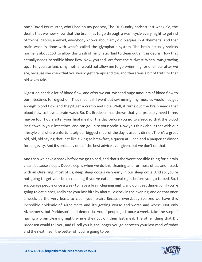one's David Perlmutter, who I had on my podcast, The Dr. Gundry podcast last week. So, the deal is that we now know that the brain has to go through a wash cycle every night to get rid of toxins, debris, amyloid, everybody knows about amyloid plaques in Alzheimer's. And that brain wash is done with what's called the glymphatic system. The brain actually shrinks normally about 20% to allow this wash of lymphatic fluid to clean out all this debris. Now that actually needs incredible blood flow. Now, you and I are from the Midwest. When I was growing up, after you ate lunch, my mother would not allow me to go swimming for one hour after we ate, because she knew that you would get cramps and die, and there was a bit of truth to that old wives tale.

Digestion needs a lot of blood flow, and after we eat, we send huge amounts of blood flow to our intestines for digestion. That means if I went out swimming, my muscles would not get enough blood flow and they'd get a cramp and I die. Well, it turns out the brain needs that blood flow to have a brain wash. So, Dr. Bredesen has shown that you probably need three, maybe four hours after your final meal of the day before you go to sleep, so that the blood isn't down in your intestines, and can go up to your brain. Now you think about that with our lifestyle and where unfortunately our biggest meal of the day is usually dinner. There's a great old, old, old saying that, eat like a king at breakfast, a queen at lunch and a pauper at dinner for longevity. And it's probably one of the best advice ever given, but we don't do that.

And then we have a snack before we go to bed, and that's the worst possible thing for a brain clean, because sleep... Deep sleep is when we do this cleaning and for most of us, and I track with an Oura ring, most of us, deep sleep occurs very early in our sleep cycle. And so, you're not going to get your brain cleaning if you've eaten a meal right before you go to bed. So, I encourage people once a week to have a brain cleaning night, and don't eat dinner, or if you're going to eat dinner, really eat your last bite by about 5 o'clock in the evening, and do that once a week, at the very least, to clean your brain. Because everybody realizes we have this incredible epidemic of Alzheimer's and it's getting worse and worse and worse. Not only Alzheimer's, but Parkinson's and dementia. And if people just once a week, take the step of having a brain cleaning night, where they cut off their last meal. The other thing that Dr. Bredesen would tell you, and I'll tell you is, the longer you go between your last meal of today and the next meal, the better off you're going to be.